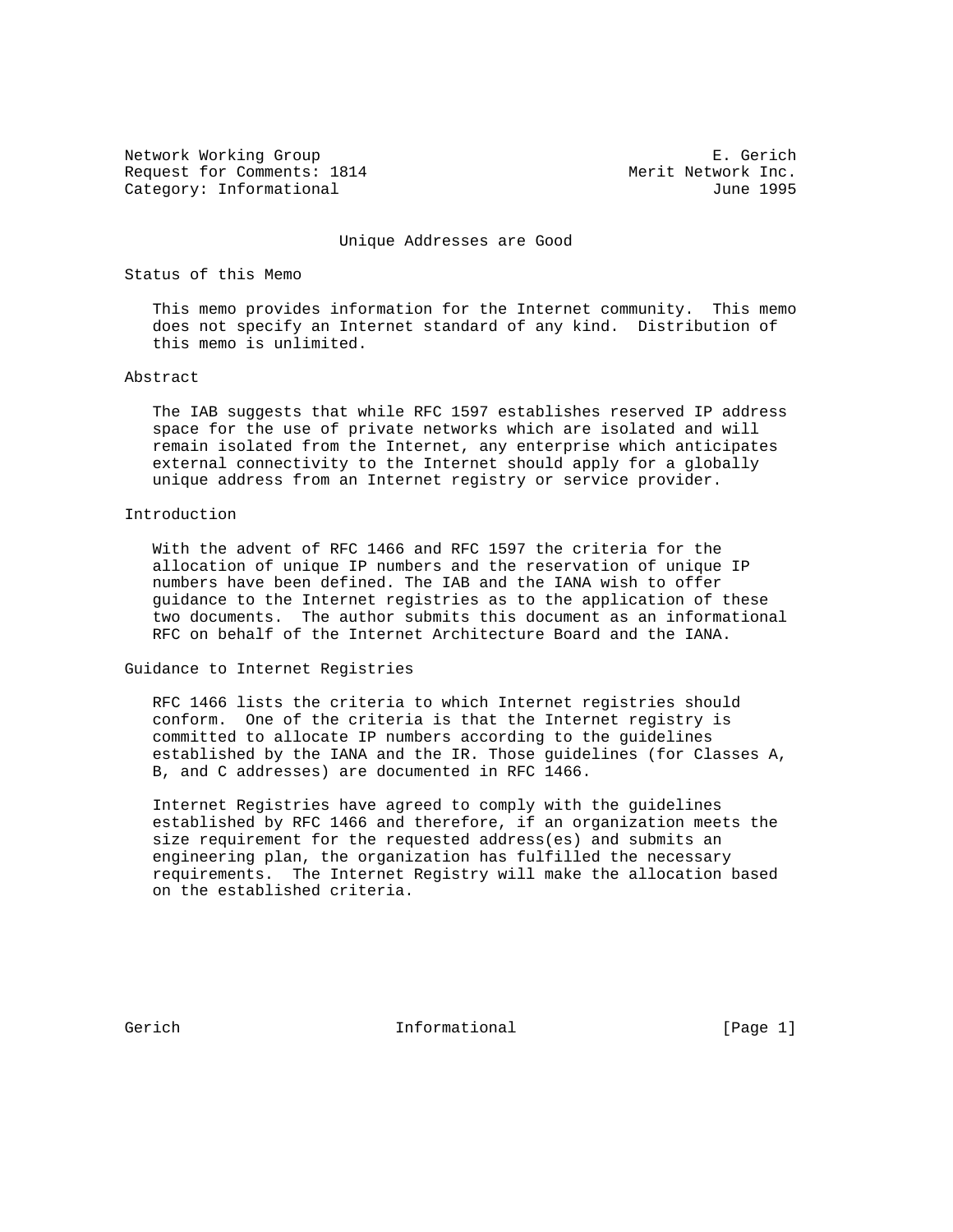Network Working Group B. Gerich<br>Request for Comments: 1814 Merit Network Inc. Request for Comments: 1814 Category: Informational and Category: Informational and Category: June 1995

Unique Addresses are Good

## Status of this Memo

 This memo provides information for the Internet community. This memo does not specify an Internet standard of any kind. Distribution of this memo is unlimited.

#### Abstract

 The IAB suggests that while RFC 1597 establishes reserved IP address space for the use of private networks which are isolated and will remain isolated from the Internet, any enterprise which anticipates external connectivity to the Internet should apply for a globally unique address from an Internet registry or service provider.

## Introduction

 With the advent of RFC 1466 and RFC 1597 the criteria for the allocation of unique IP numbers and the reservation of unique IP numbers have been defined. The IAB and the IANA wish to offer guidance to the Internet registries as to the application of these two documents. The author submits this document as an informational RFC on behalf of the Internet Architecture Board and the IANA.

#### Guidance to Internet Registries

 RFC 1466 lists the criteria to which Internet registries should conform. One of the criteria is that the Internet registry is committed to allocate IP numbers according to the guidelines established by the IANA and the IR. Those guidelines (for Classes A, B, and C addresses) are documented in RFC 1466.

 Internet Registries have agreed to comply with the guidelines established by RFC 1466 and therefore, if an organization meets the size requirement for the requested address(es) and submits an engineering plan, the organization has fulfilled the necessary requirements. The Internet Registry will make the allocation based on the established criteria.

Gerich **Informational** Informational [Page 1]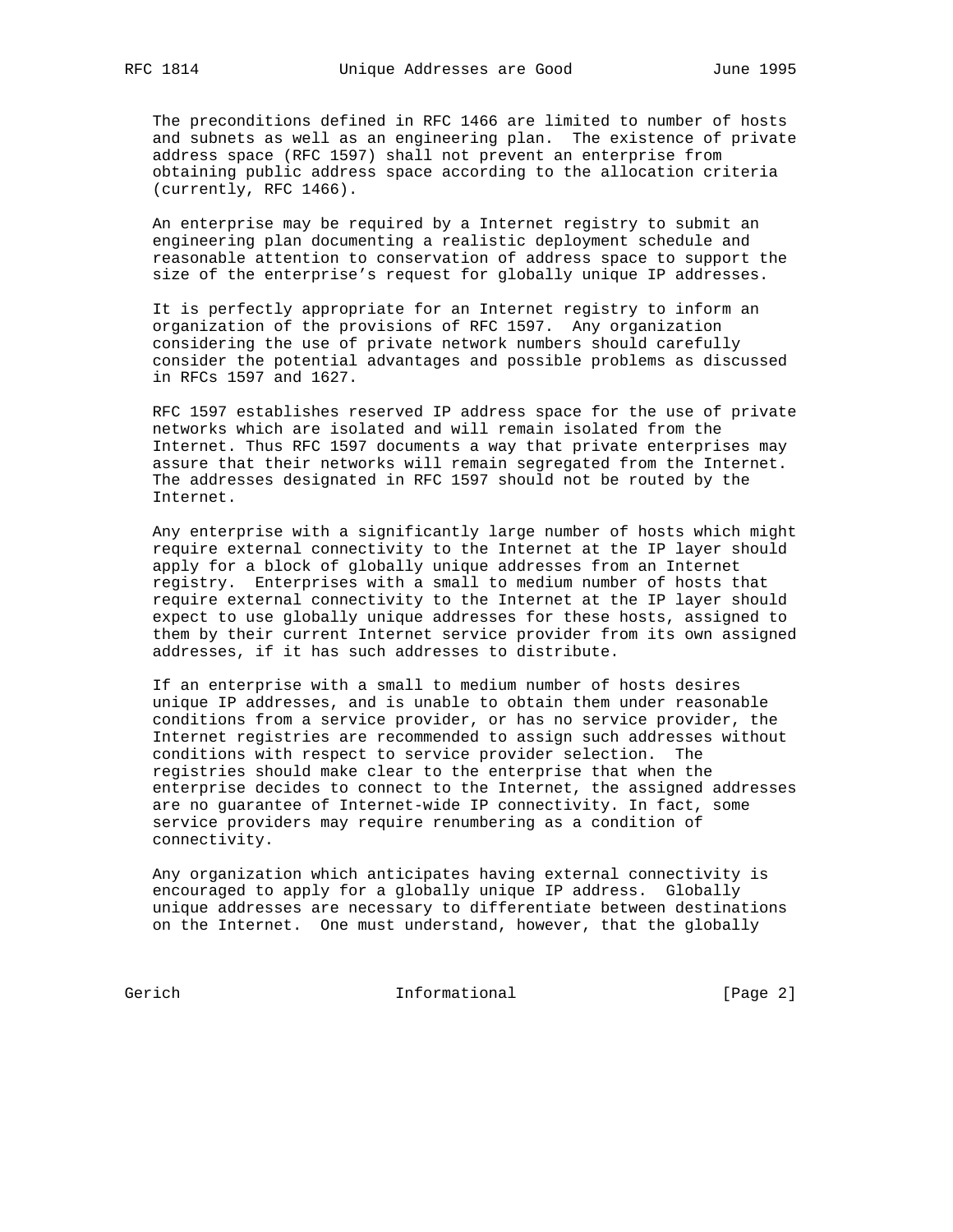The preconditions defined in RFC 1466 are limited to number of hosts and subnets as well as an engineering plan. The existence of private address space (RFC 1597) shall not prevent an enterprise from obtaining public address space according to the allocation criteria (currently, RFC 1466).

 An enterprise may be required by a Internet registry to submit an engineering plan documenting a realistic deployment schedule and reasonable attention to conservation of address space to support the size of the enterprise's request for globally unique IP addresses.

 It is perfectly appropriate for an Internet registry to inform an organization of the provisions of RFC 1597. Any organization considering the use of private network numbers should carefully consider the potential advantages and possible problems as discussed in RFCs 1597 and 1627.

 RFC 1597 establishes reserved IP address space for the use of private networks which are isolated and will remain isolated from the Internet. Thus RFC 1597 documents a way that private enterprises may assure that their networks will remain segregated from the Internet. The addresses designated in RFC 1597 should not be routed by the Internet.

 Any enterprise with a significantly large number of hosts which might require external connectivity to the Internet at the IP layer should apply for a block of globally unique addresses from an Internet registry. Enterprises with a small to medium number of hosts that require external connectivity to the Internet at the IP layer should expect to use globally unique addresses for these hosts, assigned to them by their current Internet service provider from its own assigned addresses, if it has such addresses to distribute.

 If an enterprise with a small to medium number of hosts desires unique IP addresses, and is unable to obtain them under reasonable conditions from a service provider, or has no service provider, the Internet registries are recommended to assign such addresses without conditions with respect to service provider selection. The registries should make clear to the enterprise that when the enterprise decides to connect to the Internet, the assigned addresses are no guarantee of Internet-wide IP connectivity. In fact, some service providers may require renumbering as a condition of connectivity.

 Any organization which anticipates having external connectivity is encouraged to apply for a globally unique IP address. Globally unique addresses are necessary to differentiate between destinations on the Internet. One must understand, however, that the globally

Gerich Informational [Page 2]